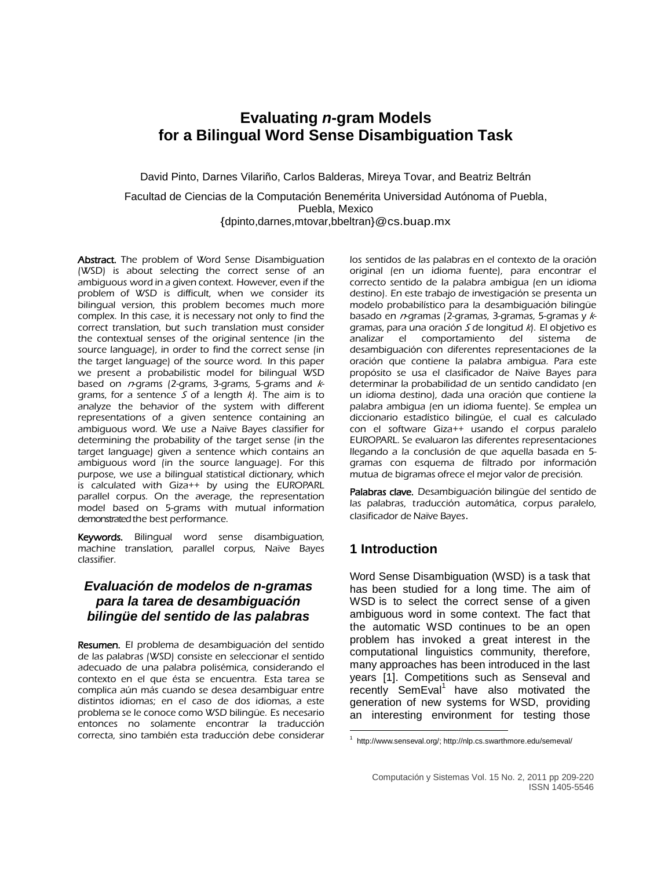# **Evaluating** *n***-gram Models for a Bilingual Word Sense Disambiguation Task**

David Pinto, Darnes Vilariño, Carlos Balderas, Mireya Tovar, and Beatriz Beltrán

Facultad de Ciencias de la Computación Benemérita Universidad Autónoma of Puebla, Puebla, Mexico {dpinto,darnes,mtovar[,bbeltran}@cs.buap.mx](mailto:@cs.buap.mx)

Abstract. The problem of Word Sense Disambiguation (WSD) is about selecting the correct sense of an ambiguous word in a given context. However, even if the problem of WSD is difficult, when we consider its bilingual version, this problem becomes much more complex. In this case, it is necessary not only to find the correct translation, but such translation must consider the contextual senses of the original sentence (in the source language), in order to find the correct sense (in the target language) of the source word. In this paper we present a probabilistic model for bilingual WSD based on  $n-$ grams (2-grams, 3-grams, 5-grams and  $k$ grams, for a sentence  $S$  of a length  $k$ ). The aim is to analyze the behavior of the system with different representations of a given sentence containing an ambiguous word. We use a Naïve Bayes classifier for determining the probability of the target sense (in the target language) given a sentence which contains an ambiguous word (in the source language). For this purpose, we use a bilingual statistical dictionary, which is calculated with Giza++ by using the EUROPARL parallel corpus. On the average, the representation model based on 5-grams with mutual information demonstrated the best performance.

Keywords. Bilingual word sense disambiguation, machine translation, parallel corpus, Naïve Bayes classifier.

### *Evaluación de modelos de n-gramas para la tarea de desambiguación bilingüe del sentido de las palabras*

Resumen. El problema de desambiguación del sentido de las palabras (WSD) consiste en seleccionar el sentido adecuado de una palabra polisémica, considerando el contexto en el que ésta se encuentra. Esta tarea se complica aún más cuando se desea desambiguar entre distintos idiomas; en el caso de dos idiomas, a este problema se le conoce como WSD bilingüe. Es necesario entonces no solamente encontrar la traducción correcta, sino también esta traducción debe considerar los sentidos de las palabras en el contexto de la oración original (en un idioma fuente), para encontrar el correcto sentido de la palabra ambigua (en un idioma destino). En este trabajo de investigación se presenta un modelo probabilístico para la desambiguación bilingüe basado en  $n$ -gramas (2-gramas, 3-gramas, 5-gramas y  $k$ gramas, para una oración  $S$  de longitud  $k$ ). El objetivo es analizar el comportamiento del sistema de desambiguación con diferentes representaciones de la oración que contiene la palabra ambigua. Para este propósito se usa el clasificador de Naïve Bayes para determinar la probabilidad de un sentido candidato (en un idioma destino), dada una oración que contiene la palabra ambigua (en un idioma fuente). Se emplea un diccionario estadístico bilingüe, el cual es calculado con el software Giza++ usando el corpus paralelo EUROPARL. Se evaluaron las diferentes representaciones llegando a la conclusión de que aquella basada en 5 gramas con esquema de filtrado por información mutua de bigramas ofrece el mejor valor de precisión.

Palabras clave. Desambiguación bilingüe del sentido de las palabras, traducción automática, corpus paralelo, clasificador de Naïve Bayes.

## **1 Introduction**

Word Sense Disambiguation (WSD) is a task that has been studied for a long time. The aim of WSD is to select the correct sense of a given ambiguous word in some context. The fact that the automatic WSD continues to be an open problem has invoked a great interest in the computational linguistics community, therefore, many approaches has been introduced in the last years [\[1\]](#page-10-0). Competitions such as Senseval and recently SemEval<sup>1</sup> have also motivated the generation of new systems for WSD, providing an interesting environment for testing those

 $\overline{a}$ <sup>1</sup> [http://www.senseval.org/;](http://www.senseval.org/) http://nlp.cs.swarthmore.edu/semeval/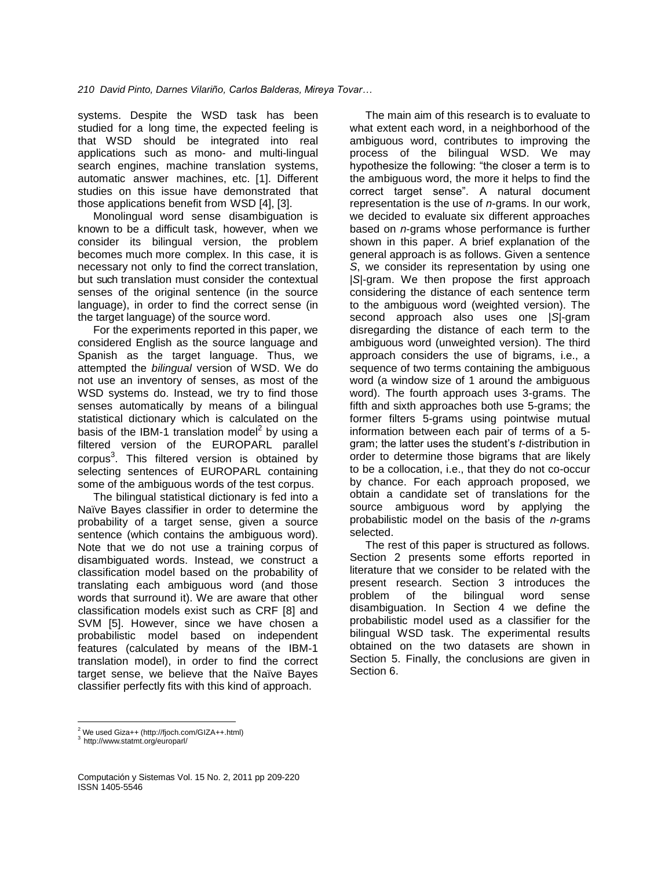systems. Despite the WSD task has been studied for a long time, the expected feeling is that WSD should be integrated into real applications such as mono- and multi-lingual search engines, machine translation systems, automatic answer machines, etc. [\[1\]](#page-10-0). Different studies on this issue have demonstrated that those applications benefit from WSD [\[4\]](#page-10-1), [\[3\]](#page-10-2).

Monolingual word sense disambiguation is known to be a difficult task, however, when we consider its bilingual version, the problem becomes much more complex. In this case, it is necessary not only to find the correct translation, but such translation must consider the contextual senses of the original sentence (in the source language), in order to find the correct sense (in the target language) of the source word.

For the experiments reported in this paper, we considered English as the source language and Spanish as the target language. Thus, we attempted the *bilingual* version of WSD. We do not use an inventory of senses, as most of the WSD systems do. Instead, we try to find those senses automatically by means of a bilingual statistical dictionary which is calculated on the basis of the IBM-1 translation model<sup>2</sup> by using a filtered version of the EUROPARL parallel corpus<sup>3</sup>. This filtered version is obtained by selecting sentences of EUROPARL containing some of the ambiguous words of the test corpus.

The bilingual statistical dictionary is fed into a Naïve Bayes classifier in order to determine the probability of a target sense, given a source sentence (which contains the ambiguous word). Note that we do not use a training corpus of disambiguated words. Instead, we construct a classification model based on the probability of translating each ambiguous word (and those words that surround it). We are aware that other classification models exist such as CRF [\[8\]](#page-11-0) and SVM [\[5\]](#page-10-3). However, since we have chosen a probabilistic model based on independent features (calculated by means of the IBM-1 translation model), in order to find the correct target sense, we believe that the Naïve Bayes classifier perfectly fits with this kind of approach.

The main aim of this research is to evaluate to what extent each word, in a neighborhood of the ambiguous word, contributes to improving the process of the bilingual WSD. We may hypothesize the following: "the closer a term is to the ambiguous word, the more it helps to find the correct target sense". A natural document representation is the use of *n*-grams. In our work, we decided to evaluate six different approaches based on *n*-grams whose performance is further shown in this paper. A brief explanation of the general approach is as follows. Given a sentence *S*, we consider its representation by using one |*S*|-gram. We then propose the first approach considering the distance of each sentence term to the ambiguous word (weighted version). The second approach also uses one |*S*|-gram disregarding the distance of each term to the ambiguous word (unweighted version). The third approach considers the use of bigrams, i.e., a sequence of two terms containing the ambiguous word (a window size of 1 around the ambiguous word). The fourth approach uses 3-grams. The fifth and sixth approaches both use 5-grams; the former filters 5-grams using pointwise mutual information between each pair of terms of a 5 gram; the latter uses the student's *t*-distribution in order to determine those bigrams that are likely to be a collocation, i.e., that they do not co-occur by chance. For each approach proposed, we obtain a candidate set of translations for the source ambiguous word by applying the probabilistic model on the basis of the *n*-grams selected.

The rest of this paper is structured as follows. Section 2 presents some efforts reported in literature that we consider to be related with the present research. Section 3 introduces the problem of the bilingual word sense disambiguation. In Section 4 we define the probabilistic model used as a classifier for the bilingual WSD task. The experimental results obtained on the two datasets are shown in Section 5. Finally, the conclusions are given in Section 6.

 $\overline{a}$  $2$  We used Giza++ (http://fjoch.com/GIZA++.html)

<sup>3</sup> http://www.statmt.org/europarl/

Computación y Sistemas Vol. 15 No. 2, 2011 pp 209-220 ISSN 1405-5546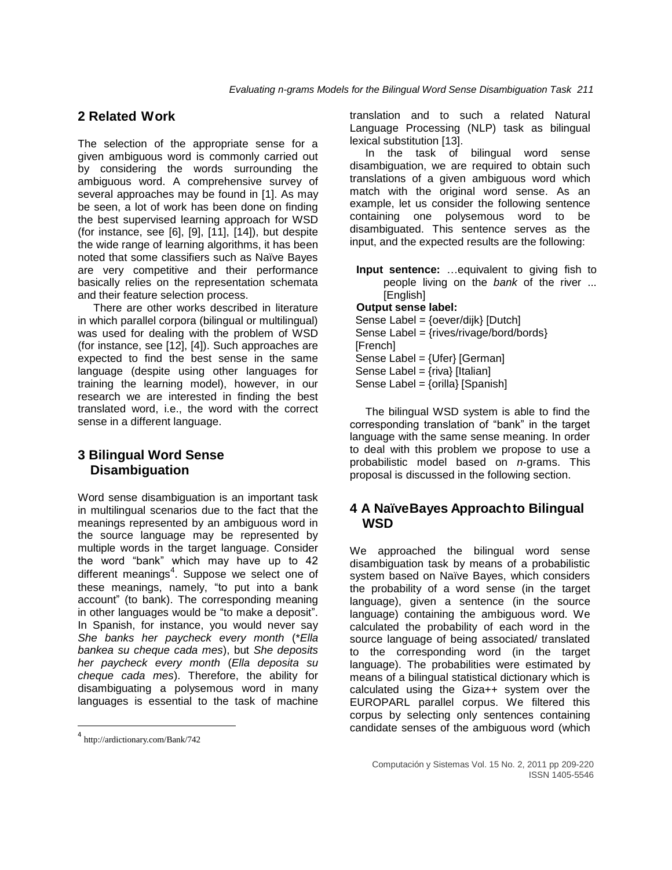## **2 Related Work**

The selection of the appropriate sense for a given ambiguous word is commonly carried out by considering the words surrounding the ambiguous word. A comprehensive survey of several approaches may be found in [\[1\]](#page-10-0). As may be seen, a lot of work has been done on finding the best supervised learning approach for WSD (for instance, see [\[6\]](#page-10-4), [\[9\]](#page-11-1), [\[11\]](#page-11-2), [\[14\]](#page-11-3)), but despite the wide range of learning algorithms, it has been noted that some classifiers such as Naïve Bayes are very competitive and their performance basically relies on the representation schemata and their feature selection process.

There are other works described in literature in which parallel corpora (bilingual or multilingual) was used for dealing with the problem of WSD (for instance, see [\[12\]](#page-11-4), [\[4\]](#page-10-1)). Such approaches are expected to find the best sense in the same language (despite using other languages for training the learning model), however, in our research we are interested in finding the best translated word, i.e., the word with the correct sense in a different language.

### **3 Bilingual Word Sense Disambiguation**

Word sense disambiguation is an important task in multilingual scenarios due to the fact that the meanings represented by an ambiguous word in the source language may be represented by multiple words in the target language. Consider the word "bank" which may have up to 42 different meanings<sup>4</sup>. Suppose we select one of these meanings, namely, "to put into a bank account" (to bank). The corresponding meaning in other languages would be "to make a deposit". In Spanish, for instance, you would never say *She banks her paycheck every month* (\**Ella bankea su cheque cada mes*), but *She deposits her paycheck every month* (*Ella deposita su cheque cada mes*). Therefore, the ability for disambiguating a polysemous word in many languages is essential to the task of machine

l

translation and to such a related Natural Language Processing (NLP) task as bilingual lexical substitution [\[13\]](#page-11-5).

In the task of bilingual word sense disambiguation, we are required to obtain such translations of a given ambiguous word which match with the original word sense. As an example, let us consider the following sentence containing one polysemous word to be disambiguated. This sentence serves as the input, and the expected results are the following:

**Input sentence:** …equivalent to giving fish to people living on the *bank* of the river ... [English] **Output sense label:**

Sense Label = {oever/dijk} [Dutch]

Sense Label = {rives/rivage/bord/bords} [French]

Sense Label = {Ufer} [German]

Sense Label =  $\{$ riva $\}$  [Italian]

Sense Label = {orilla} [Spanish]

The bilingual WSD system is able to find the corresponding translation of "bank" in the target language with the same sense meaning. In order to deal with this problem we propose to use a probabilistic model based on *n*-grams. This proposal is discussed in the following section.

## **4 A NaïveBayes Approachto Bilingual WSD**

We approached the bilingual word sense disambiguation task by means of a probabilistic system based on Naïve Bayes, which considers the probability of a word sense (in the target language), given a sentence (in the source language) containing the ambiguous word. We calculated the probability of each word in the source language of being associated/ translated to the corresponding word (in the target language). The probabilities were estimated by means of a bilingual statistical dictionary which is calculated using the Giza++ system over the EUROPARL parallel corpus. We filtered this corpus by selecting only sentences containing candidate senses of the ambiguous word (which

<sup>4</sup> http://ardictionary.com/Bank/742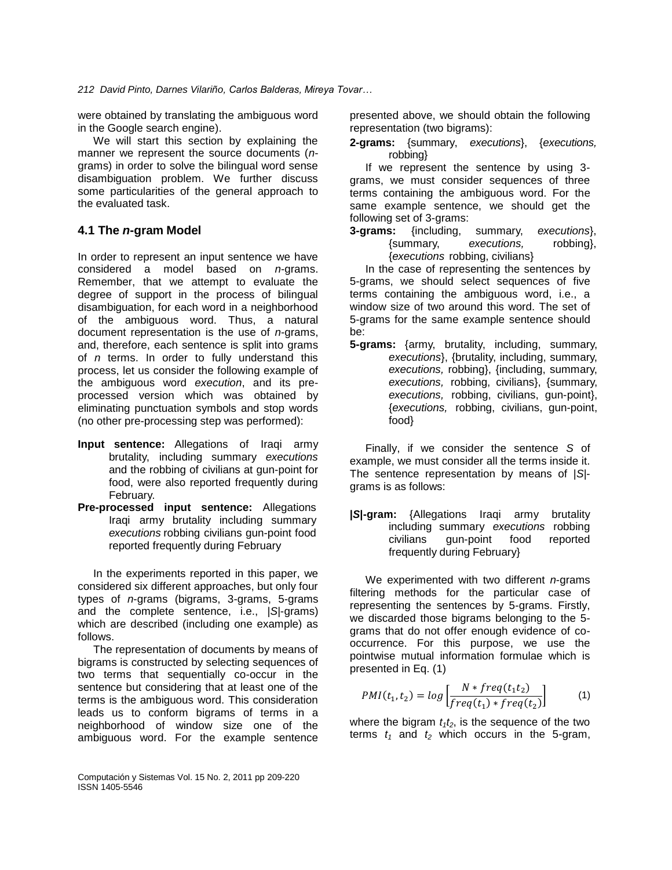were obtained by translating the ambiguous word in the Google search engine).

We will start this section by explaining the manner we represent the source documents (*n*grams) in order to solve the bilingual word sense disambiguation problem. We further discuss some particularities of the general approach to the evaluated task.

### **4.1 The** *n***-gram Model**

In order to represent an input sentence we have considered a model based on *n*-grams. Remember, that we attempt to evaluate the degree of support in the process of bilingual disambiguation, for each word in a neighborhood of the ambiguous word. Thus, a natural document representation is the use of *n*-grams, and, therefore, each sentence is split into grams of *n* terms. In order to fully understand this process, let us consider the following example of the ambiguous word *execution*, and its preprocessed version which was obtained by eliminating punctuation symbols and stop words (no other pre-processing step was performed):

- **Input sentence:** Allegations of Iraqi army brutality, including summary *executions* and the robbing of civilians at gun-point for food, were also reported frequently during February.
- **Pre-processed input sentence:** Allegations Iraqi army brutality including summary *executions* robbing civilians gun-point food reported frequently during February

In the experiments reported in this paper, we considered six different approaches, but only four types of *n*-grams (bigrams, 3-grams, 5-grams and the complete sentence, i.e., |*S*|-grams) which are described (including one example) as follows.

The representation of documents by means of bigrams is constructed by selecting sequences of two terms that sequentially co-occur in the sentence but considering that at least one of the terms is the ambiguous word. This consideration leads us to conform bigrams of terms in a neighborhood of window size one of the ambiguous word. For the example sentence

Computación y Sistemas Vol. 15 No. 2, 2011 pp 209-220 ISSN 1405-5546

presented above, we should obtain the following representation (two bigrams):

**2-grams:** {summary, *executions*}, {*executions,* robbing}

If we represent the sentence by using 3 grams, we must consider sequences of three terms containing the ambiguous word. For the same example sentence, we should get the following set of 3-grams:

**3-grams:** {including, summary, *executions*}, {summary, *executions,* robbing}, {*executions* robbing, civilians}

In the case of representing the sentences by 5-grams, we should select sequences of five terms containing the ambiguous word, i.e., a window size of two around this word. The set of 5-grams for the same example sentence should be:

**5-grams:** {army, brutality, including, summary, *executions*}, {brutality, including, summary, *executions,* robbing}, {including, summary, *executions,* robbing, civilians}, {summary, *executions,* robbing, civilians, gun-point}, {*executions,* robbing, civilians, gun-point, food}

Finally, if we consider the sentence *S* of example, we must consider all the terms inside it. The sentence representation by means of |*S*| grams is as follows:

**|***S***|-gram:** {Allegations Iraqi army brutality including summary *executions* robbing civilians gun-point food reported frequently during February}

We experimented with two different *n*-grams filtering methods for the particular case of representing the sentences by 5-grams. Firstly, we discarded those bigrams belonging to the 5 grams that do not offer enough evidence of cooccurrence. For this purpose, we use the pointwise mutual information formulae which is presented in Eq. (1)

$$
PMI(t_1, t_2) = log \left[ \frac{N * freq(t_1 t_2)}{freq(t_1) * freq(t_2)} \right]
$$
 (1)

where the bigram  $t_1t_2$ , is the sequence of the two terms  $t_1$  and  $t_2$  which occurs in the 5-gram,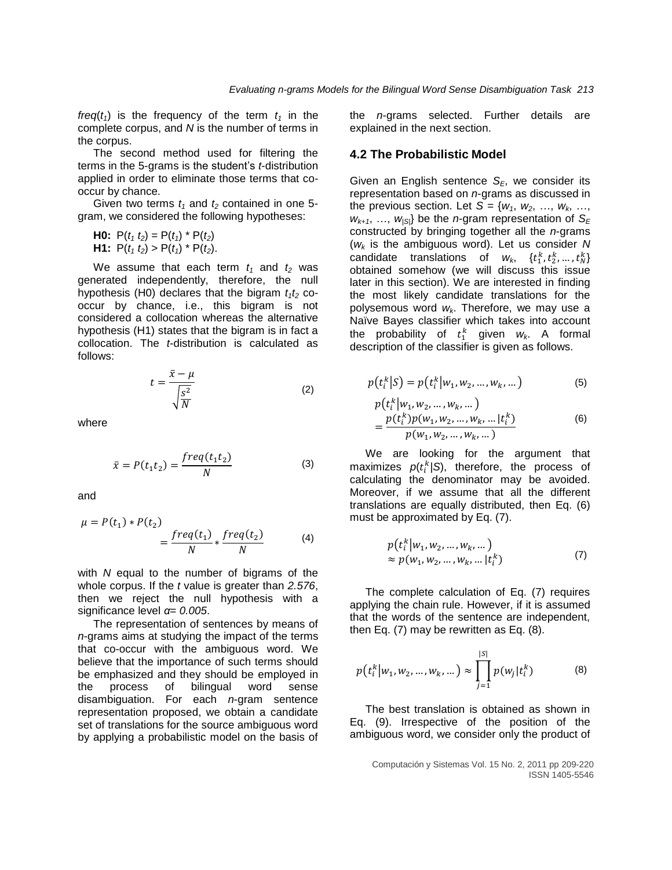*freq*( $t_1$ ) is the frequency of the term  $t_1$  in the complete corpus, and *N* is the number of terms in the corpus.

The second method used for filtering the terms in the 5-grams is the student's *t*-distribution applied in order to eliminate those terms that cooccur by chance.

Given two terms  $t_1$  and  $t_2$  contained in one 5gram, we considered the following hypotheses:

**H0:** 
$$
P(t_1 t_2) = P(t_1) * P(t_2)
$$
  
**H1:**  $P(t_1 t_2) > P(t_1) * P(t_2)$ .

We assume that each term  $t_1$  and  $t_2$  was generated independently, therefore, the null hypothesis (H0) declares that the bigram  $t_1t_2$  cooccur by chance, i.e., this bigram is not considered a collocation whereas the alternative hypothesis (H1) states that the bigram is in fact a collocation. The *t*-distribution is calculated as follows:

$$
t = \frac{\bar{x} - \mu}{\sqrt{\frac{S^2}{N}}}
$$
 (2)

where

$$
\bar{x} = P(t_1 t_2) = \frac{freq(t_1 t_2)}{N}
$$
 (3)

and

$$
\mu = P(t_1) * P(t_2)
$$
  
= 
$$
\frac{freq(t_1)}{N} * \frac{freq(t_2)}{N}
$$
 (4)

with *N* equal to the number of bigrams of the whole corpus. If the *t* value is greater than *2.576*, then we reject the null hypothesis with a significance level *α*= *0.005*.

The representation of sentences by means of *n*-grams aims at studying the impact of the terms that co-occur with the ambiguous word. We believe that the importance of such terms should be emphasized and they should be employed in the process of bilingual word sense disambiguation. For each *n*-gram sentence representation proposed, we obtain a candidate set of translations for the source ambiguous word by applying a probabilistic model on the basis of the *n*-grams selected. Further details are explained in the next section.

#### **4.2 The Probabilistic Model**

Given an English sentence *SE*, we consider its representation based on *n*-grams as discussed in the previous section. Let  $S = \{w_1, w_2, \ldots, w_k, \ldots\}$  $W_{k+1}$ , ...,  $W_{|S|}$  be the *n*-gram representation of  $S_F$ constructed by bringing together all the *n*-grams (*w<sup>k</sup>* is the ambiguous word). Let us consider *N* candidate translations of  $w_k$ ,  $\{t_1^k, t_2^k, ..., t_N^k\}$ obtained somehow (we will discuss this issue later in this section). We are interested in finding the most likely candidate translations for the polysemous word *wk*. Therefore, we may use a Naïve Bayes classifier which takes into account the probability of  $t_1^k$  given  $w_k$ . A formal description of the classifier is given as follows.

$$
p(t_i^k|S) = p(t_i^k|w_1, w_2, ..., w_k, ...)
$$
 (5)

$$
p(t_i^k | w_1, w_2, ..., w_k, ...)
$$
  
= 
$$
\frac{p(t_i^k)p(w_1, w_2, ..., w_k, ... | t_i^k)}{p(w_1, w_2, ..., w_k, ...)}
$$
 (6)

We are looking for the argument that maximizes  $p(t_i^k/S)$ , therefore, the process of calculating the denominator may be avoided. Moreover, if we assume that all the different translations are equally distributed, then Eq. (6) must be approximated by Eq. (7).

$$
p(t_i^k|w_1, w_2, ..., w_k, ...)
$$
  
\n
$$
\approx p(w_1, w_2, ..., w_k, ... |t_i^k)
$$
 (7)

The complete calculation of Eq. (7) requires applying the chain rule. However, if it is assumed that the words of the sentence are independent, then Eq. (7) may be rewritten as Eq. (8).

$$
p(t_i^k|w_1, w_2, ..., w_k, ...) \approx \prod_{j=1}^{|S|} p(w_j|t_i^k)
$$
 (8)

The best translation is obtained as shown in Eq. (9). Irrespective of the position of the ambiguous word, we consider only the product of

Computación y Sistemas Vol. 15 No. 2, 2011 pp 209-220 ISSN 1405-5546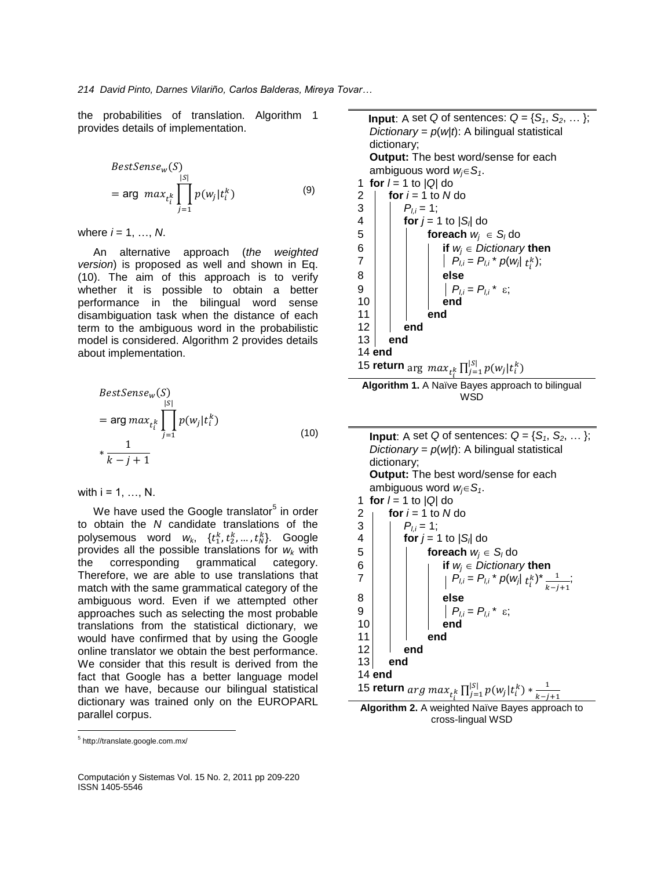the probabilities of translation. Algorithm 1 provides details of implementation.

$$
BestSense_w(S)
$$
  
= arg max<sub>t<sub>i</sub><sup>k</sup></sub>  $\prod_{j=1}^{|S|} p(w_j|t_i^k)$  (9)

where  $i = 1, ..., N$ .

An alternative approach (*the weighted version*) is proposed as well and shown in Eq. (10). The aim of this approach is to verify whether it is possible to obtain a better performance in the bilingual word sense disambiguation task when the distance of each term to the ambiguous word in the probabilistic model is considered. Algorithm 2 provides details about implementation.

$$
BestSense_w(S)
$$
  
= arg max<sub>t<sub>i</sub><sup>k</sup></sub>  $\prod_{j=1}^{|S|} p(w_j|t_i^k)$   
\*  $\frac{1}{k-j+1}$  (10)

with  $i = 1, ..., N$ .

We have used the Google translator<sup>5</sup> in order to obtain the *N* candidate translations of the polysemous word  $w_k$ ,  $\{t_1^k, t_2^k, ..., t_N^k\}$ . Google provides all the possible translations for *w<sup>k</sup>* with the corresponding grammatical category. Therefore, we are able to use translations that match with the same grammatical category of the ambiguous word. Even if we attempted other approaches such as selecting the most probable translations from the statistical dictionary, we would have confirmed that by using the Google online translator we obtain the best performance. We consider that this result is derived from the fact that Google has a better language model than we have, because our bilingual statistical dictionary was trained only on the EUROPARL parallel corpus.

 $\overline{\phantom{a}}$ 

Computación y Sistemas Vol. 15 No. 2, 2011 pp 209-220 ISSN 1405-5546

**Input**: A set *Q* of sentences:  $Q = \{S_1, S_2, \dots\}$ ; *Dictionary* =  $p(w|t)$ : A bilingual statistical dictionary; **Output:** The best word/sense for each ambiguous word  $w_i \in S_i$ . 1 **for**  $l = 1$  to  $|Q|$  do  $2 \mid$  **for**  $i = 1$  to  $N$  do  $\begin{array}{c|c} 3 & P_{l,i} = 1; \\ 4 & \text{for } i = 1 \end{array}$ 4 **for** *j* = 1 to |*S<sup>l</sup>* | do 5 **foreach** *w<sup>j</sup> S<sup>l</sup>* do 6 **i if**  $w_j \in$  *Dictionary* then<br>7 **i**  $P_{i,j} = P_{i,j} * p(w_i | t_j)$  $7 \mid |$   $|$   $P_{l,i} = P_{l,i} * p(w_j | t_i^k);$ 8 **else**  $\begin{array}{ccc} 9 \\ 10 \end{array}$   $\begin{array}{ccc} \end{array}$   $\begin{array}{ccc} \end{array}$   $\begin{array}{ccc} P_{l,i} = P_{l,i} & \epsilon; \end{array}$ 10 **end** 11 **end** 12 **end** 13 **end** 14 **end** 15 **return** arg  $max_{k} \prod_{i=1}^{|S|} p(w_i|t_i^k)$ j

**Algorithm 1.** A Naïve Bayes approach to bilingual WSD

| <b>Input:</b> A set Q of sentences: $Q = \{S_1, S_2, \dots\}$ ;                             |  |  |  |  |
|---------------------------------------------------------------------------------------------|--|--|--|--|
| Dictionary = $p(w t)$ : A bilingual statistical                                             |  |  |  |  |
| dictionary;                                                                                 |  |  |  |  |
| <b>Output:</b> The best word/sense for each                                                 |  |  |  |  |
| ambiguous word $w_i \in S_i$ .                                                              |  |  |  |  |
| for $I = 1$ to $ Q $ do<br>1                                                                |  |  |  |  |
| for $i = 1$ to N do                                                                         |  |  |  |  |
| $P_{l,i} = 1$ ;                                                                             |  |  |  |  |
| for $j = 1$ to $ S_i $ do                                                                   |  |  |  |  |
| $\begin{array}{c} 2 \\ 3 \\ 4 \\ 5 \end{array}$<br><b>foreach</b> $w_i \in S_i$ do          |  |  |  |  |
| if $w_i \in Dictionary$ then                                                                |  |  |  |  |
| $\frac{6}{7}$<br>$P_{l,i} = P_{l,i} * p(w_j   t_i^k) * \frac{1}{k-i+1};$                    |  |  |  |  |
|                                                                                             |  |  |  |  |
| 8<br>else                                                                                   |  |  |  |  |
| 9<br>$\mid P_{l,i} = P_{l,i} * \varepsilon;$                                                |  |  |  |  |
| 10<br>end                                                                                   |  |  |  |  |
| 11<br>end                                                                                   |  |  |  |  |
| 12<br>end                                                                                   |  |  |  |  |
| 13<br>end                                                                                   |  |  |  |  |
| $14$ end                                                                                    |  |  |  |  |
| 15 <b>return</b> $\arg \max_{t_i^k} \prod_{j=1}^{ S } p(w_j   t_i^k) * \frac{1}{k - j + 1}$ |  |  |  |  |
| Algorithm 2. A woighted Naïve Rayes approach to                                             |  |  |  |  |

**Algorithm 2.** A weighted Naïve Bayes approach to cross-lingual WSD

<sup>5</sup> http://translate.google.com.mx/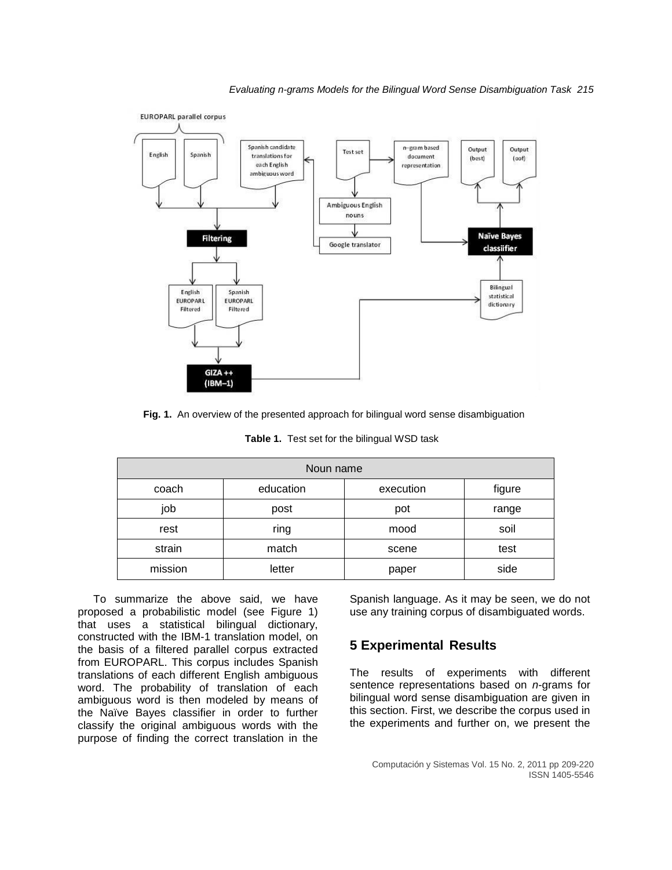



**Fig. 1.** An overview of the presented approach for bilingual word sense disambiguation

| Noun name |           |           |        |  |
|-----------|-----------|-----------|--------|--|
| coach     | education | execution | figure |  |
| job       | post      | pot       | range  |  |
| rest      | ring      | mood      | soil   |  |
| strain    | match     | scene     | test   |  |
| mission   | letter    | paper     | side   |  |

**Table 1.** Test set for the bilingual WSD task

To summarize the above said, we have proposed a probabilistic model (see Figure 1) that uses a statistical bilingual dictionary, constructed with the IBM-1 translation model, on the basis of a filtered parallel corpus extracted from EUROPARL. This corpus includes Spanish translations of each different English ambiguous word. The probability of translation of each ambiguous word is then modeled by means of the Naïve Bayes classifier in order to further classify the original ambiguous words with the purpose of finding the correct translation in the Spanish language. As it may be seen, we do not use any training corpus of disambiguated words.

## **5 Experimental Results**

The results of experiments with different sentence representations based on *n*-grams for bilingual word sense disambiguation are given in this section. First, we describe the corpus used in the experiments and further on, we present the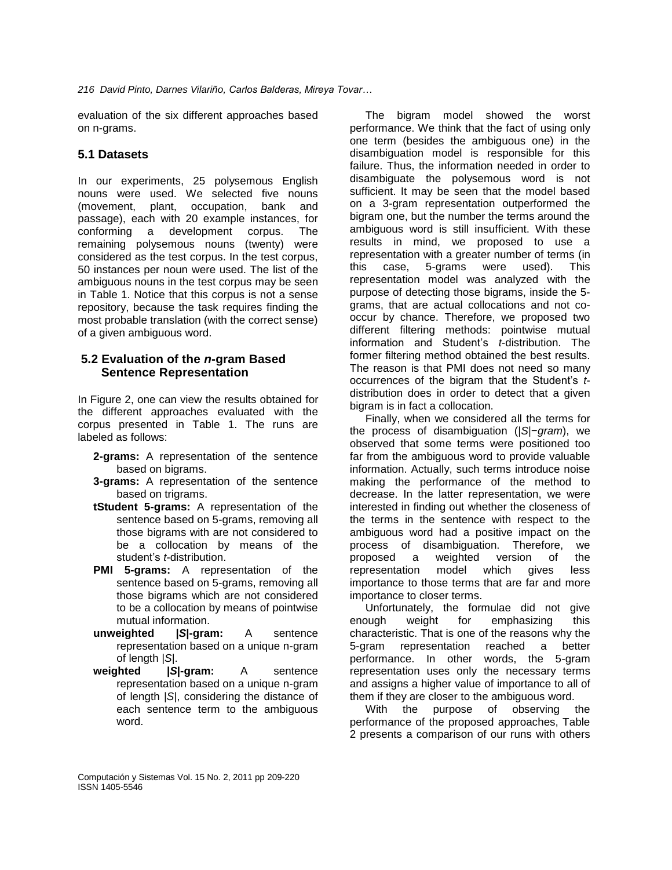*216 David Pinto, Darnes Vilariño, Carlos Balderas, Mireya Tovar…*

evaluation of the six different approaches based on n-grams.

### **5.1 Datasets**

In our experiments, 25 polysemous English nouns were used. We selected five nouns (movement, plant, occupation, bank and passage), each with 20 example instances, for conforming a development corpus. The remaining polysemous nouns (twenty) were considered as the test corpus. In the test corpus, 50 instances per noun were used. The list of the ambiguous nouns in the test corpus may be seen in Table 1. Notice that this corpus is not a sense repository, because the task requires finding the most probable translation (with the correct sense) of a given ambiguous word.

### **5.2 Evaluation of the** *n***-gram Based Sentence Representation**

In Figure 2, one can view the results obtained for the different approaches evaluated with the corpus presented in Table 1. The runs are labeled as follows:

- **2-grams:** A representation of the sentence based on bigrams.
- **3-grams:** A representation of the sentence based on trigrams.
- **tStudent 5-grams:** A representation of the sentence based on 5-grams, removing all those bigrams with are not considered to be a collocation by means of the student's *t*-distribution.
- **PMI 5-grams:** A representation of the sentence based on 5-grams, removing all those bigrams which are not considered to be a collocation by means of pointwise mutual information.
- **unweighted |***S***|-gram:** A sentence representation based on a unique n-gram of length |*S*|.
- **weighted |***S***|-gram:** A sentence representation based on a unique n-gram of length |*S*|, considering the distance of each sentence term to the ambiguous word.

The bigram model showed the worst performance. We think that the fact of using only one term (besides the ambiguous one) in the disambiguation model is responsible for this failure. Thus, the information needed in order to disambiguate the polysemous word is not sufficient. It may be seen that the model based on a 3-gram representation outperformed the bigram one, but the number the terms around the ambiguous word is still insufficient. With these results in mind, we proposed to use a representation with a greater number of terms (in this case, 5-grams were used). This representation model was analyzed with the purpose of detecting those bigrams, inside the 5 grams, that are actual collocations and not cooccur by chance. Therefore, we proposed two different filtering methods: pointwise mutual information and Student's *t*-distribution. The former filtering method obtained the best results. The reason is that PMI does not need so many occurrences of the bigram that the Student's *t*distribution does in order to detect that a given bigram is in fact a collocation.

Finally, when we considered all the terms for the process of disambiguation (|*S*|−*gram*), we observed that some terms were positioned too far from the ambiguous word to provide valuable information. Actually, such terms introduce noise making the performance of the method to decrease. In the latter representation, we were interested in finding out whether the closeness of the terms in the sentence with respect to the ambiguous word had a positive impact on the process of disambiguation. Therefore, we proposed a weighted version of the representation model which gives less importance to those terms that are far and more importance to closer terms.

Unfortunately, the formulae did not give enough weight for emphasizing this characteristic. That is one of the reasons why the 5-gram representation reached a better performance. In other words, the 5-gram representation uses only the necessary terms and assigns a higher value of importance to all of them if they are closer to the ambiguous word.

With the purpose of observing the performance of the proposed approaches, Table 2 presents a comparison of our runs with others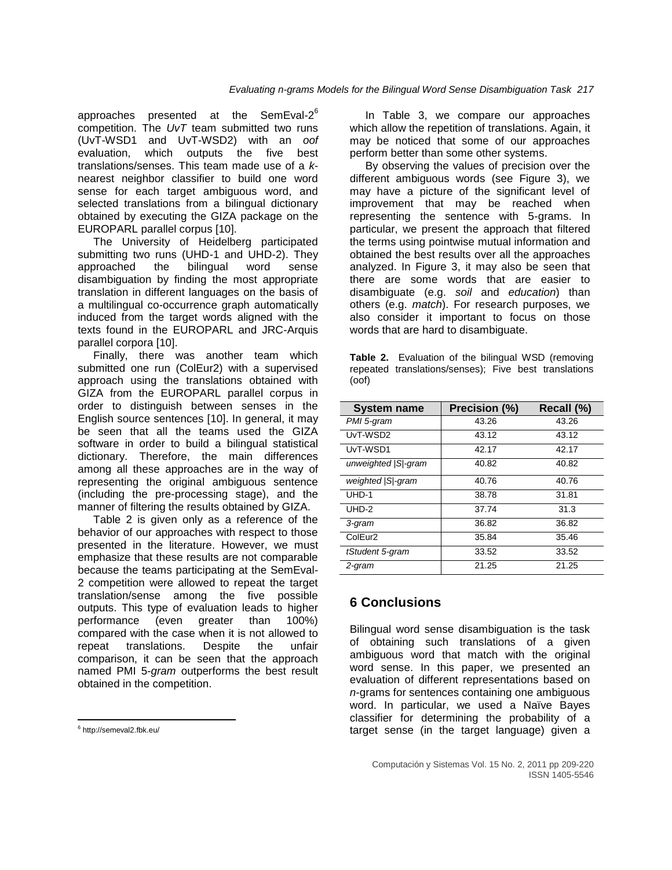approaches presented at the SemEval-2 $^6$ competition. The *UvT* team submitted two runs (UvT-WSD1 and UvT-WSD2) with an *oof* evaluation, which outputs the five best translations/senses. This team made use of a *k*nearest neighbor classifier to build one word sense for each target ambiguous word, and selected translations from a bilingual dictionary obtained by executing the GIZA package on the EUROPARL parallel corpus [\[10\]](#page-11-6).

The University of Heidelberg participated submitting two runs (UHD-1 and UHD-2). They approached the bilingual word sense disambiguation by finding the most appropriate translation in different languages on the basis of a multilingual co-occurrence graph automatically induced from the target words aligned with the texts found in the EUROPARL and JRC-Arquis parallel corpora [\[10\]](#page-11-6).

Finally, there was another team which submitted one run (ColEur2) with a supervised approach using the translations obtained with GIZA from the EUROPARL parallel corpus in order to distinguish between senses in the English source sentences [\[10\]](#page-11-6). In general, it may be seen that all the teams used the GIZA software in order to build a bilingual statistical dictionary. Therefore, the main differences among all these approaches are in the way of representing the original ambiguous sentence (including the pre-processing stage), and the manner of filtering the results obtained by GIZA.

Table 2 is given only as a reference of the behavior of our approaches with respect to those presented in the literature. However, we must emphasize that these results are not comparable because the teams participating at the SemEval-2 competition were allowed to repeat the target translation/sense among the five possible outputs. This type of evaluation leads to higher performance (even greater than 100%) compared with the case when it is not allowed to repeat translations. Despite the unfair comparison, it can be seen that the approach named PMI 5-*gram* outperforms the best result obtained in the competition.

In Table 3, we compare our approaches which allow the repetition of translations. Again, it may be noticed that some of our approaches perform better than some other systems.

By observing the values of precision over the different ambiguous words (see Figure 3), we may have a picture of the significant level of improvement that may be reached when representing the sentence with 5-grams. In particular, we present the approach that filtered the terms using pointwise mutual information and obtained the best results over all the approaches analyzed. In Figure 3, it may also be seen that there are some words that are easier to disambiguate (e.g. *soil* and *education*) than others (e.g. *match*). For research purposes, we also consider it important to focus on those words that are hard to disambiguate.

|       | <b>Table 2.</b> Evaluation of the bilingual WSD (removing |
|-------|-----------------------------------------------------------|
|       | repeated translations/senses); Five best translations     |
| (oof) |                                                           |

| System name          | Precision (%) | Recall (%) |
|----------------------|---------------|------------|
| PMI 5-gram           | 43.26         | 43.26      |
| UvT-WSD2             | 43.12         | 43.12      |
| UvT-WSD1             | 42.17         | 42.17      |
| unweighted   S -gram | 40.82         | 40.82      |
| weighted   S -gram   | 40.76         | 40.76      |
| UHD-1                | 38.78         | 31.81      |
| UHD-2                | 37.74         | 31.3       |
| 3-gram               | 36.82         | 36.82      |
| ColEur <sub>2</sub>  | 35.84         | 35.46      |
| tStudent 5-gram      | 33.52         | 33.52      |
| 2-gram               | 21.25         | 21.25      |

## **6 Conclusions**

Bilingual word sense disambiguation is the task of obtaining such translations of a given ambiguous word that match with the original word sense. In this paper, we presented an evaluation of different representations based on *n*-grams for sentences containing one ambiguous word. In particular, we used a Naïve Bayes classifier for determining the probability of a target sense (in the target language) given a

 $\overline{\phantom{a}}$ <sup>6</sup> http://semeval2.fbk.eu/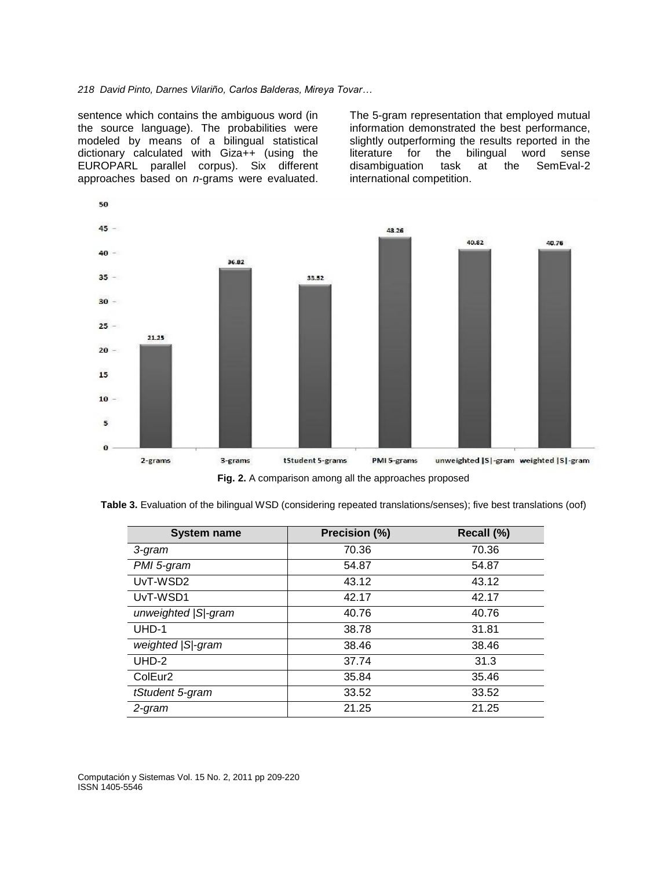#### *218 David Pinto, Darnes Vilariño, Carlos Balderas, Mireya Tovar…*

sentence which contains the ambiguous word (in the source language). The probabilities were modeled by means of a bilingual statistical dictionary calculated with Giza++ (using the EUROPARL parallel corpus). Six different approaches based on *n*-grams were evaluated.

The 5-gram representation that employed mutual information demonstrated the best performance, slightly outperforming the results reported in the literature for the bilingual word sense disambiguation task at the SemEval-2 international competition.



**Table 3.** Evaluation of the bilingual WSD (considering repeated translations/senses); five best translations (oof)

| <b>System name</b>   | Precision (%) | Recall (%) |
|----------------------|---------------|------------|
| 3-gram               | 70.36         | 70.36      |
| PMI 5-gram           | 54.87         | 54.87      |
| UvT-WSD2             | 43.12         | 43.12      |
| UvT-WSD1             | 42.17         | 42.17      |
| unweighted   S -gram | 40.76         | 40.76      |
| UHD-1                | 38.78         | 31.81      |
| weighted   S -gram   | 38.46         | 38.46      |
| $UHD-2$              | 37.74         | 31.3       |
| ColEur <sub>2</sub>  | 35.84         | 35.46      |
| tStudent 5-gram      | 33.52         | 33.52      |
| 2-gram               | 21.25         | 21.25      |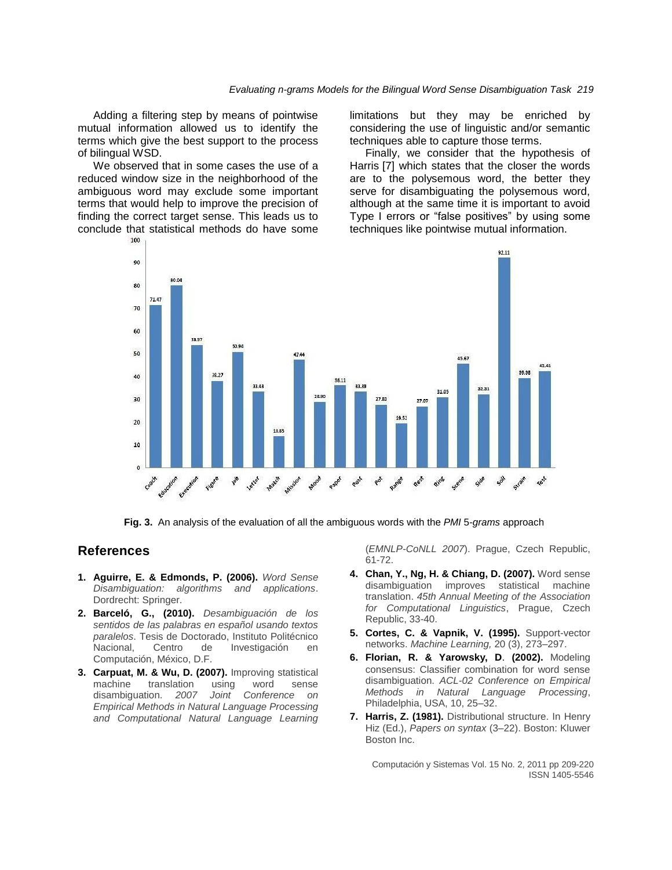Adding a filtering step by means of pointwise mutual information allowed us to identify the terms which give the best support to the process of bilingual WSD.

We observed that in some cases the use of a reduced window size in the neighborhood of the ambiguous word may exclude some important terms that would help to improve the precision of finding the correct target sense. This leads us to conclude that statistical methods do have some limitations but they may be enriched by considering the use of linguistic and/or semantic techniques able to capture those terms.

Finally, we consider that the hypothesis of Harris [\[7\]](#page-10-5) which states that the closer the words are to the polysemous word, the better they serve for disambiguating the polysemous word, although at the same time it is important to avoid Type I errors or "false positives" by using some techniques like pointwise mutual information.



**Fig. 3.** An analysis of the evaluation of all the ambiguous words with the *PMI* 5*-grams* approach

### **References**

- <span id="page-10-0"></span>**1. Aguirre, E. & Edmonds, P. (2006).** *Word Sense Disambiguation: algorithms and applications*. Dordrecht: Springer.
- **2. Barceló, G., (2010).** *Desambiguación de los sentidos de las palabras en español usando textos paralelos*. Tesis de Doctorado, Instituto Politécnico Nacional, Centro de Investigación en Computación, México, D.F.
- <span id="page-10-2"></span>**3. Carpuat, M. & Wu, D. (2007).** Improving statistical machine translation using word sense disambiguation. *2007 Joint Conference on Empirical Methods in Natural Language Processing and Computational Natural Language Learning*

(*EMNLP-CoNLL 2007*). Prague, Czech Republic, 61-72.

- <span id="page-10-1"></span>**4. Chan, Y., Ng, H. & Chiang, D. (2007).** Word sense disambiguation improves statistical machine translation. *45th Annual Meeting of the Association for Computational Linguistics*, Prague, Czech Republic, 33-40.
- <span id="page-10-3"></span>**5. Cortes, C. & Vapnik, V. (1995).** Support-vector networks. *Machine Learning,* 20 (3), 273–297.
- <span id="page-10-4"></span>**6. Florian, R. & Yarowsky, D**. **(2002).** Modeling consensus: Classifier combination for word sense disambiguation. *ACL-02 Conference on Empirical Methods in Natural Language Processing*, Philadelphia, USA, 10, 25–32.
- <span id="page-10-5"></span>**7. Harris, Z. (1981).** Distributional structure. In [Henry](http://www.amazon.com/s/ref=ntt_athr_dp_sr_2?_encoding=UTF8&sort=relevancerank&search-alias=books&field-author=Henry%20Hiz)  [Hiz](http://www.amazon.com/s/ref=ntt_athr_dp_sr_2?_encoding=UTF8&sort=relevancerank&search-alias=books&field-author=Henry%20Hiz) (Ed.), *Papers on syntax* (3–22). Boston: Kluwer Boston Inc.

Computación y Sistemas Vol. 15 No. 2, 2011 pp 209-220 ISSN 1405-5546